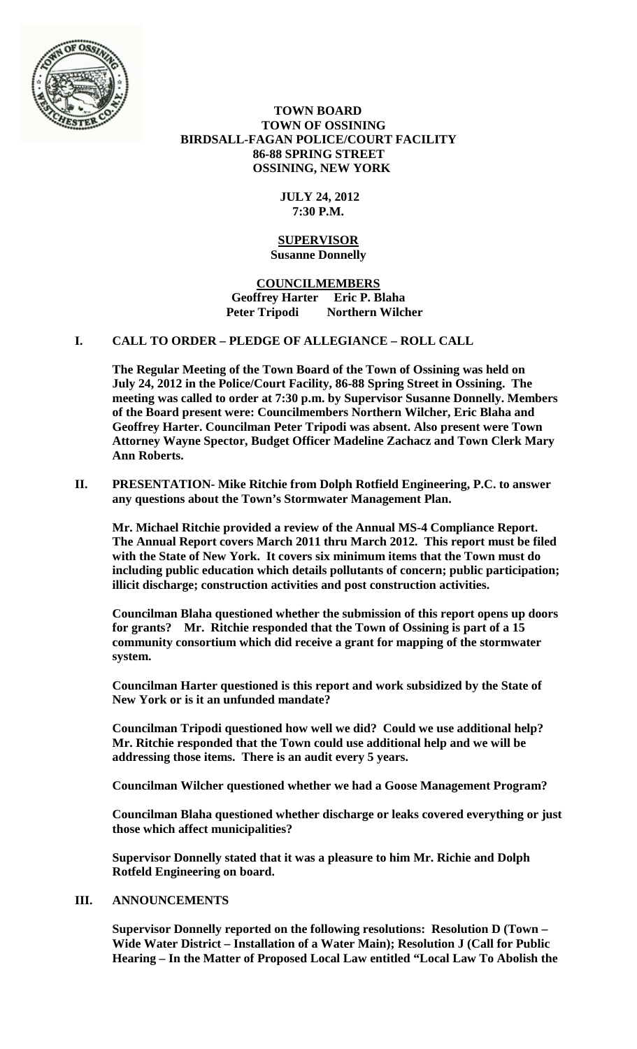

 **TOWN BOARD TOWN OF OSSINING BIRDSALL-FAGAN POLICE/COURT FACILITY 86-88 SPRING STREET OSSINING, NEW YORK**

## **JULY 24, 2012 7:30 P.M.**

#### **SUPERVISOR Susanne Donnelly**

**COUNCILMEMBERS Geoffrey Harter Eric P. Blaha Peter Tripodi Northern Wilcher**

## **I. CALL TO ORDER – PLEDGE OF ALLEGIANCE – ROLL CALL**

**The Regular Meeting of the Town Board of the Town of Ossining was held on July 24, 2012 in the Police/Court Facility, 86-88 Spring Street in Ossining. The meeting was called to order at 7:30 p.m. by Supervisor Susanne Donnelly. Members of the Board present were: Councilmembers Northern Wilcher, Eric Blaha and Geoffrey Harter. Councilman Peter Tripodi was absent. Also present were Town Attorney Wayne Spector, Budget Officer Madeline Zachacz and Town Clerk Mary Ann Roberts.**

**II. PRESENTATION- Mike Ritchie from Dolph Rotfield Engineering, P.C. to answer any questions about the Town's Stormwater Management Plan.**

**Mr. Michael Ritchie provided a review of the Annual MS-4 Compliance Report. The Annual Report covers March 2011 thru March 2012. This report must be filed with the State of New York. It covers six minimum items that the Town must do including public education which details pollutants of concern; public participation; illicit discharge; construction activities and post construction activities.** 

**Councilman Blaha questioned whether the submission of this report opens up doors for grants? Mr. Ritchie responded that the Town of Ossining is part of a 15 community consortium which did receive a grant for mapping of the stormwater system.**

**Councilman Harter questioned is this report and work subsidized by the State of New York or is it an unfunded mandate?**

**Councilman Tripodi questioned how well we did? Could we use additional help? Mr. Ritchie responded that the Town could use additional help and we will be addressing those items. There is an audit every 5 years.**

**Councilman Wilcher questioned whether we had a Goose Management Program?**

**Councilman Blaha questioned whether discharge or leaks covered everything or just those which affect municipalities?**

**Supervisor Donnelly stated that it was a pleasure to him Mr. Richie and Dolph Rotfeld Engineering on board.**

## **III. ANNOUNCEMENTS**

**Supervisor Donnelly reported on the following resolutions: Resolution D (Town – Wide Water District – Installation of a Water Main); Resolution J (Call for Public Hearing – In the Matter of Proposed Local Law entitled "Local Law To Abolish the**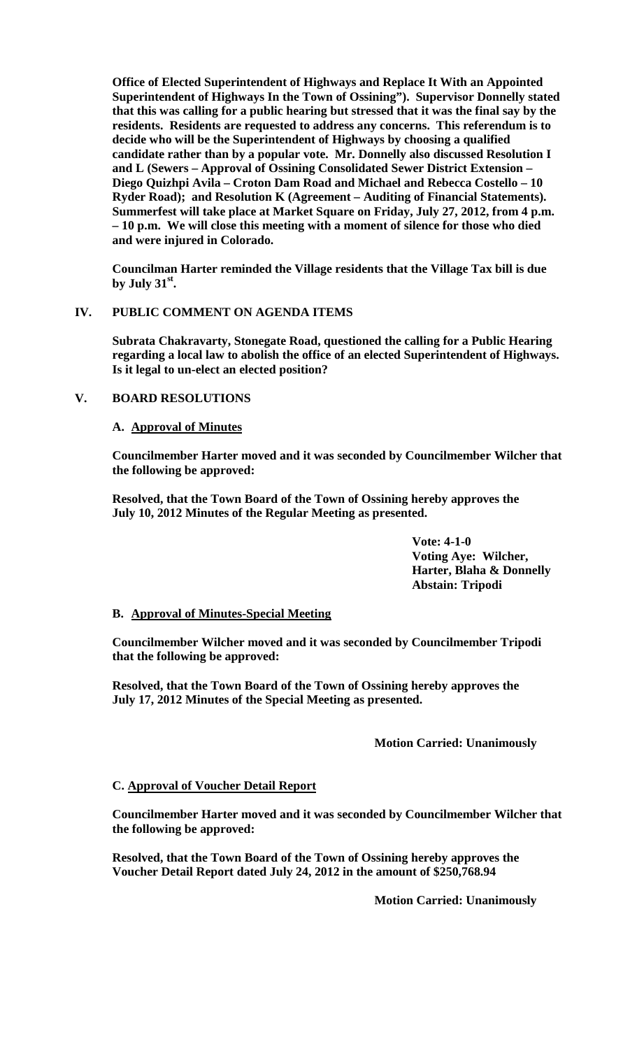**Office of Elected Superintendent of Highways and Replace It With an Appointed Superintendent of Highways In the Town of Ossining"). Supervisor Donnelly stated that this was calling for a public hearing but stressed that it was the final say by the residents. Residents are requested to address any concerns. This referendum is to decide who will be the Superintendent of Highways by choosing a qualified candidate rather than by a popular vote. Mr. Donnelly also discussed Resolution I and L (Sewers – Approval of Ossining Consolidated Sewer District Extension – Diego Quizhpi Avila – Croton Dam Road and Michael and Rebecca Costello – 10 Ryder Road); and Resolution K (Agreement – Auditing of Financial Statements). Summerfest will take place at Market Square on Friday, July 27, 2012, from 4 p.m. – 10 p.m. We will close this meeting with a moment of silence for those who died and were injured in Colorado.**

**Councilman Harter reminded the Village residents that the Village Tax bill is due**  by July  $31<sup>st</sup>$ .

## **IV. PUBLIC COMMENT ON AGENDA ITEMS**

**Subrata Chakravarty, Stonegate Road, questioned the calling for a Public Hearing regarding a local law to abolish the office of an elected Superintendent of Highways. Is it legal to un-elect an elected position?**

#### **V. BOARD RESOLUTIONS**

### **A. Approval of Minutes**

**Councilmember Harter moved and it was seconded by Councilmember Wilcher that the following be approved:**

**Resolved, that the Town Board of the Town of Ossining hereby approves the July 10, 2012 Minutes of the Regular Meeting as presented.**

> **Vote: 4-1-0 Voting Aye: Wilcher, Harter, Blaha & Donnelly Abstain: Tripodi**

#### **B. Approval of Minutes-Special Meeting**

**Councilmember Wilcher moved and it was seconded by Councilmember Tripodi that the following be approved:**

**Resolved, that the Town Board of the Town of Ossining hereby approves the July 17, 2012 Minutes of the Special Meeting as presented.**

#### **Motion Carried: Unanimously**

#### **C. Approval of Voucher Detail Report**

**Councilmember Harter moved and it was seconded by Councilmember Wilcher that the following be approved:**

**Resolved, that the Town Board of the Town of Ossining hereby approves the Voucher Detail Report dated July 24, 2012 in the amount of \$250,768.94**

**Motion Carried: Unanimously**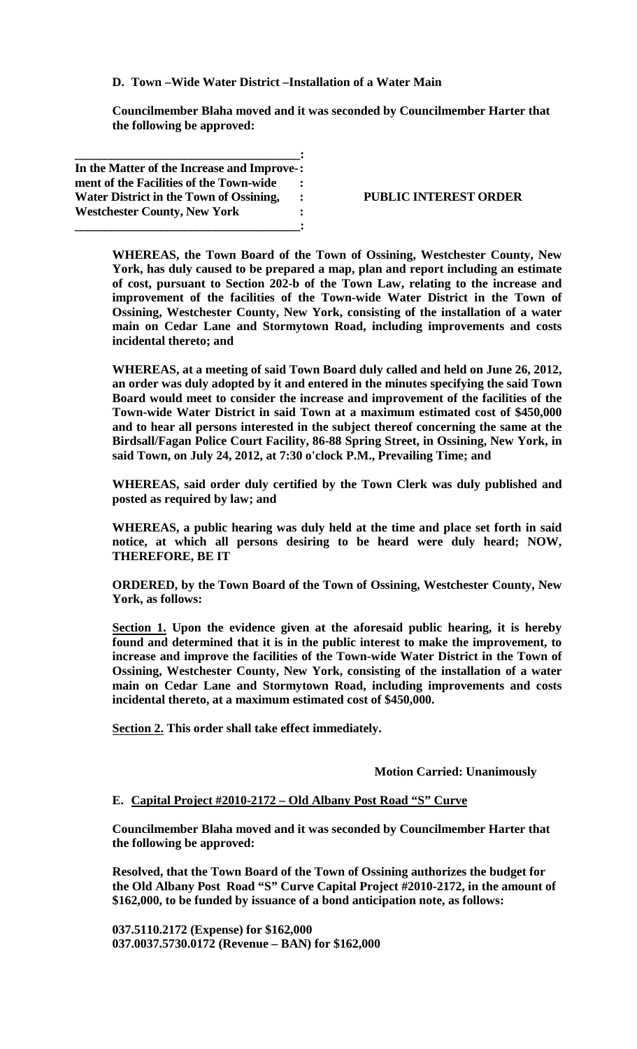**D. Town –Wide Water District –Installation of a Water Main**

**Councilmember Blaha moved and it was seconded by Councilmember Harter that the following be approved:**

**\_\_\_\_\_\_\_\_\_\_\_\_\_\_\_\_\_\_\_\_\_\_\_\_\_\_\_\_\_\_\_\_\_\_\_\_\_: In the Matter of the Increase and Improve-: ment of the Facilities of the Town-wide : Water District in the Town of Ossining, : Westchester County, New York : \_\_\_\_\_\_\_\_\_\_\_\_\_\_\_\_\_\_\_\_\_\_\_\_\_\_\_\_\_\_\_\_\_\_\_\_\_:**

#### **PUBLIC INTEREST ORDER**

**WHEREAS, the Town Board of the Town of Ossining, Westchester County, New York, has duly caused to be prepared a map, plan and report including an estimate of cost, pursuant to Section 202-b of the Town Law, relating to the increase and improvement of the facilities of the Town-wide Water District in the Town of Ossining, Westchester County, New York, consisting of the installation of a water main on Cedar Lane and Stormytown Road, including improvements and costs incidental thereto; and**

**WHEREAS, at a meeting of said Town Board duly called and held on June 26, 2012, an order was duly adopted by it and entered in the minutes specifying the said Town Board would meet to consider the increase and improvement of the facilities of the Town-wide Water District in said Town at a maximum estimated cost of \$450,000 and to hear all persons interested in the subject thereof concerning the same at the Birdsall/Fagan Police Court Facility, 86-88 Spring Street, in Ossining, New York, in said Town, on July 24, 2012, at 7:30 o'clock P.M., Prevailing Time; and**

**WHEREAS, said order duly certified by the Town Clerk was duly published and posted as required by law; and**

**WHEREAS, a public hearing was duly held at the time and place set forth in said notice, at which all persons desiring to be heard were duly heard; NOW, THEREFORE, BE IT**

**ORDERED, by the Town Board of the Town of Ossining, Westchester County, New York, as follows:**

**Section 1. Upon the evidence given at the aforesaid public hearing, it is hereby found and determined that it is in the public interest to make the improvement, to increase and improve the facilities of the Town-wide Water District in the Town of Ossining, Westchester County, New York, consisting of the installation of a water main on Cedar Lane and Stormytown Road, including improvements and costs incidental thereto, at a maximum estimated cost of \$450,000.**

**Section 2. This order shall take effect immediately.**

**Motion Carried: Unanimously**

#### **E. Capital Project #2010-2172 – Old Albany Post Road "S" Curve**

**Councilmember Blaha moved and it was seconded by Councilmember Harter that the following be approved:**

**Resolved, that the Town Board of the Town of Ossining authorizes the budget for the Old Albany Post Road "S" Curve Capital Project #2010-2172, in the amount of \$162,000, to be funded by issuance of a bond anticipation note, as follows:**

**037.5110.2172 (Expense) for \$162,000 037.0037.5730.0172 (Revenue – BAN) for \$162,000**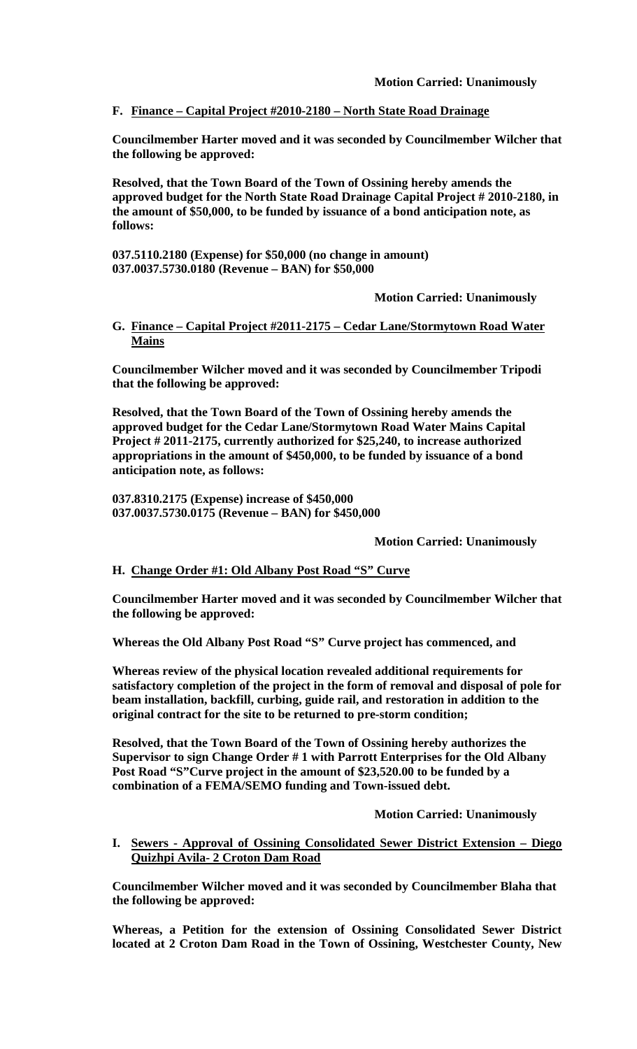## **F. Finance – Capital Project #2010-2180 – North State Road Drainage**

**Councilmember Harter moved and it was seconded by Councilmember Wilcher that the following be approved:**

**Resolved, that the Town Board of the Town of Ossining hereby amends the approved budget for the North State Road Drainage Capital Project # 2010-2180, in the amount of \$50,000, to be funded by issuance of a bond anticipation note, as follows:**

**037.5110.2180 (Expense) for \$50,000 (no change in amount) 037.0037.5730.0180 (Revenue – BAN) for \$50,000**

**Motion Carried: Unanimously**

### **G. Finance – Capital Project #2011-2175 – Cedar Lane/Stormytown Road Water Mains**

**Councilmember Wilcher moved and it was seconded by Councilmember Tripodi that the following be approved:**

**Resolved, that the Town Board of the Town of Ossining hereby amends the approved budget for the Cedar Lane/Stormytown Road Water Mains Capital Project # 2011-2175, currently authorized for \$25,240, to increase authorized appropriations in the amount of \$450,000, to be funded by issuance of a bond anticipation note, as follows:**

**037.8310.2175 (Expense) increase of \$450,000 037.0037.5730.0175 (Revenue – BAN) for \$450,000**

#### **Motion Carried: Unanimously**

#### **H. Change Order #1: Old Albany Post Road "S" Curve**

**Councilmember Harter moved and it was seconded by Councilmember Wilcher that the following be approved:**

**Whereas the Old Albany Post Road "S" Curve project has commenced, and** 

**Whereas review of the physical location revealed additional requirements for satisfactory completion of the project in the form of removal and disposal of pole for beam installation, backfill, curbing, guide rail, and restoration in addition to the original contract for the site to be returned to pre-storm condition;** 

**Resolved, that the Town Board of the Town of Ossining hereby authorizes the Supervisor to sign Change Order # 1 with Parrott Enterprises for the Old Albany Post Road "S"Curve project in the amount of \$23,520.00 to be funded by a combination of a FEMA/SEMO funding and Town-issued debt.**

**Motion Carried: Unanimously**

### **I. Sewers - Approval of Ossining Consolidated Sewer District Extension – Diego Quizhpi Avila- 2 Croton Dam Road**

**Councilmember Wilcher moved and it was seconded by Councilmember Blaha that the following be approved:**

**Whereas, a Petition for the extension of Ossining Consolidated Sewer District located at 2 Croton Dam Road in the Town of Ossining, Westchester County, New**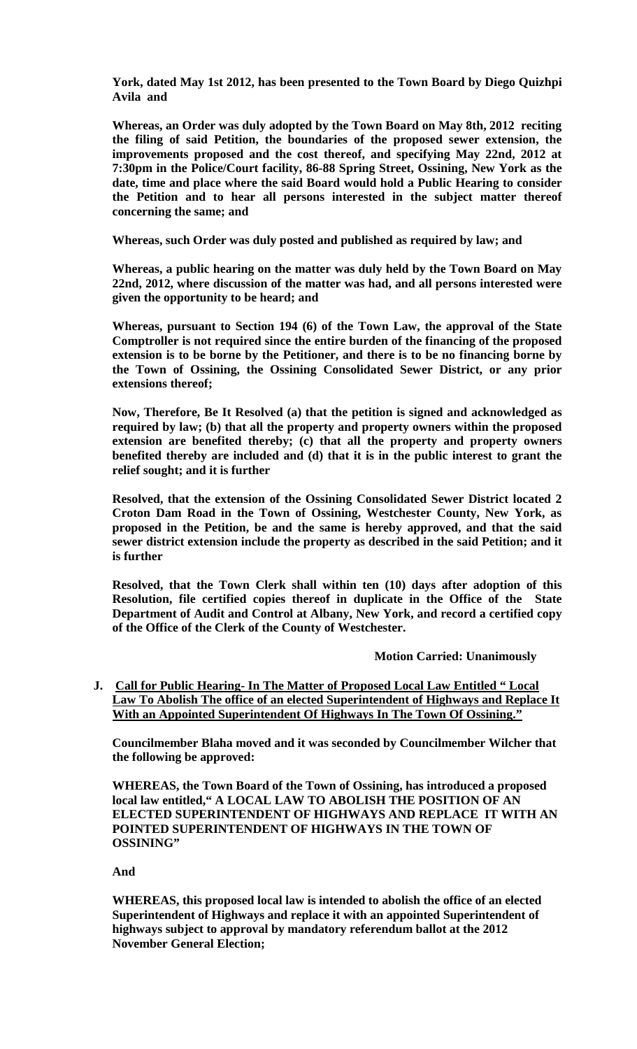**York, dated May 1st 2012, has been presented to the Town Board by Diego Quizhpi Avila and**

**Whereas, an Order was duly adopted by the Town Board on May 8th, 2012 reciting the filing of said Petition, the boundaries of the proposed sewer extension, the improvements proposed and the cost thereof, and specifying May 22nd, 2012 at 7:30pm in the Police/Court facility, 86-88 Spring Street, Ossining, New York as the date, time and place where the said Board would hold a Public Hearing to consider the Petition and to hear all persons interested in the subject matter thereof concerning the same; and**

**Whereas, such Order was duly posted and published as required by law; and**

**Whereas, a public hearing on the matter was duly held by the Town Board on May 22nd, 2012, where discussion of the matter was had, and all persons interested were given the opportunity to be heard; and**

**Whereas, pursuant to Section 194 (6) of the Town Law, the approval of the State Comptroller is not required since the entire burden of the financing of the proposed extension is to be borne by the Petitioner, and there is to be no financing borne by the Town of Ossining, the Ossining Consolidated Sewer District, or any prior extensions thereof;**

**Now, Therefore, Be It Resolved (a) that the petition is signed and acknowledged as required by law; (b) that all the property and property owners within the proposed extension are benefited thereby; (c) that all the property and property owners benefited thereby are included and (d) that it is in the public interest to grant the relief sought; and it is further** 

**Resolved, that the extension of the Ossining Consolidated Sewer District located 2 Croton Dam Road in the Town of Ossining, Westchester County, New York, as proposed in the Petition, be and the same is hereby approved, and that the said sewer district extension include the property as described in the said Petition; and it is further**

**Resolved, that the Town Clerk shall within ten (10) days after adoption of this Resolution, file certified copies thereof in duplicate in the Office of the State Department of Audit and Control at Albany, New York, and record a certified copy of the Office of the Clerk of the County of Westchester.**

#### **Motion Carried: Unanimously**

**J. Call for Public Hearing- In The Matter of Proposed Local Law Entitled " Local Law To Abolish The office of an elected Superintendent of Highways and Replace It With an Appointed Superintendent Of Highways In The Town Of Ossining."**

**Councilmember Blaha moved and it was seconded by Councilmember Wilcher that the following be approved:**

**WHEREAS, the Town Board of the Town of Ossining, has introduced a proposed local law entitled," A LOCAL LAW TO ABOLISH THE POSITION OF AN ELECTED SUPERINTENDENT OF HIGHWAYS AND REPLACE IT WITH AN POINTED SUPERINTENDENT OF HIGHWAYS IN THE TOWN OF OSSINING"**

**And**

**WHEREAS, this proposed local law is intended to abolish the office of an elected Superintendent of Highways and replace it with an appointed Superintendent of highways subject to approval by mandatory referendum ballot at the 2012 November General Election;**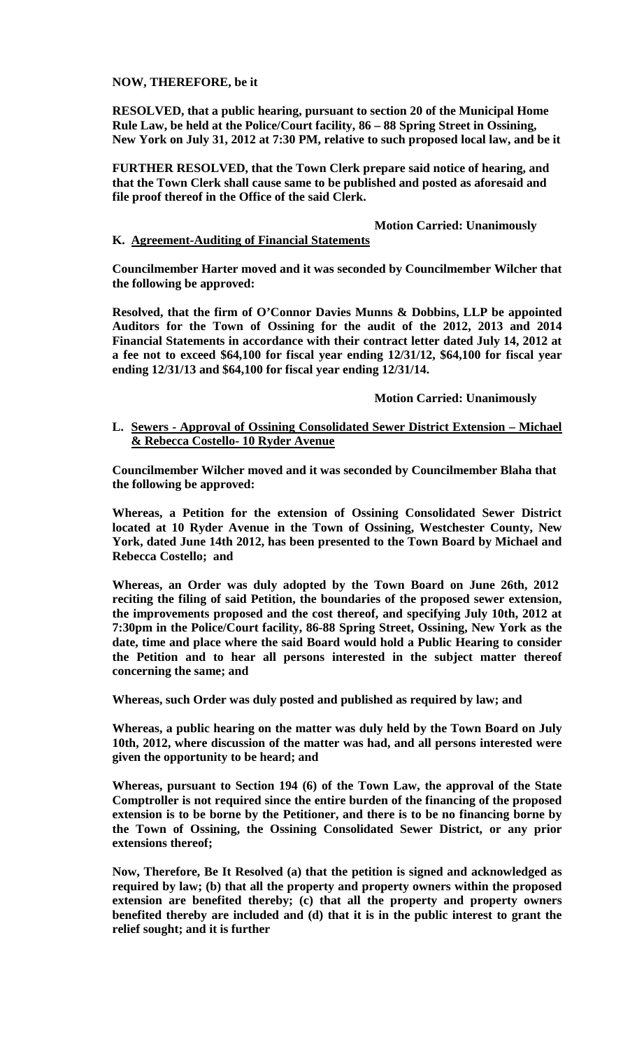**NOW, THEREFORE, be it**

**RESOLVED, that a public hearing, pursuant to section 20 of the Municipal Home Rule Law, be held at the Police/Court facility, 86 – 88 Spring Street in Ossining, New York on July 31, 2012 at 7:30 PM, relative to such proposed local law, and be it**

**FURTHER RESOLVED, that the Town Clerk prepare said notice of hearing, and that the Town Clerk shall cause same to be published and posted as aforesaid and file proof thereof in the Office of the said Clerk.**

## **Motion Carried: Unanimously**

#### **K. Agreement-Auditing of Financial Statements**

**Councilmember Harter moved and it was seconded by Councilmember Wilcher that the following be approved:**

**Resolved, that the firm of O'Connor Davies Munns & Dobbins, LLP be appointed Auditors for the Town of Ossining for the audit of the 2012, 2013 and 2014 Financial Statements in accordance with their contract letter dated July 14, 2012 at a fee not to exceed \$64,100 for fiscal year ending 12/31/12, \$64,100 for fiscal year ending 12/31/13 and \$64,100 for fiscal year ending 12/31/14.**

### **Motion Carried: Unanimously**

**L. Sewers - Approval of Ossining Consolidated Sewer District Extension – Michael & Rebecca Costello- 10 Ryder Avenue**

**Councilmember Wilcher moved and it was seconded by Councilmember Blaha that the following be approved:**

**Whereas, a Petition for the extension of Ossining Consolidated Sewer District located at 10 Ryder Avenue in the Town of Ossining, Westchester County, New York, dated June 14th 2012, has been presented to the Town Board by Michael and Rebecca Costello; and**

**Whereas, an Order was duly adopted by the Town Board on June 26th, 2012 reciting the filing of said Petition, the boundaries of the proposed sewer extension, the improvements proposed and the cost thereof, and specifying July 10th, 2012 at 7:30pm in the Police/Court facility, 86-88 Spring Street, Ossining, New York as the date, time and place where the said Board would hold a Public Hearing to consider the Petition and to hear all persons interested in the subject matter thereof concerning the same; and**

**Whereas, such Order was duly posted and published as required by law; and**

**Whereas, a public hearing on the matter was duly held by the Town Board on July 10th, 2012, where discussion of the matter was had, and all persons interested were given the opportunity to be heard; and**

**Whereas, pursuant to Section 194 (6) of the Town Law, the approval of the State Comptroller is not required since the entire burden of the financing of the proposed extension is to be borne by the Petitioner, and there is to be no financing borne by the Town of Ossining, the Ossining Consolidated Sewer District, or any prior extensions thereof;**

**Now, Therefore, Be It Resolved (a) that the petition is signed and acknowledged as required by law; (b) that all the property and property owners within the proposed extension are benefited thereby; (c) that all the property and property owners benefited thereby are included and (d) that it is in the public interest to grant the relief sought; and it is further**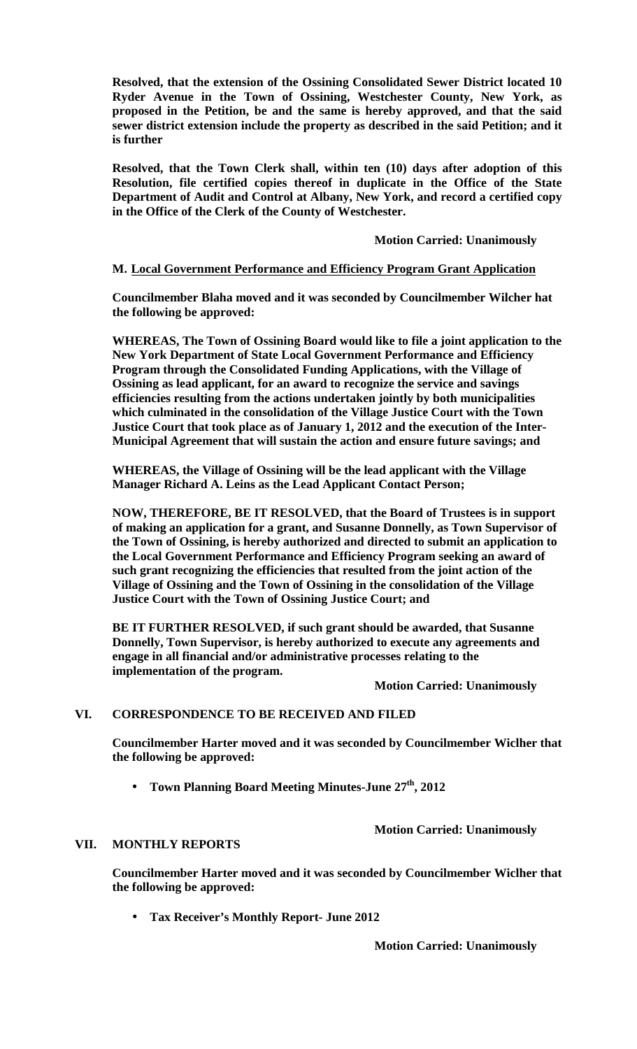**Resolved, that the extension of the Ossining Consolidated Sewer District located 10 Ryder Avenue in the Town of Ossining, Westchester County, New York, as proposed in the Petition, be and the same is hereby approved, and that the said sewer district extension include the property as described in the said Petition; and it is further**

**Resolved, that the Town Clerk shall, within ten (10) days after adoption of this Resolution, file certified copies thereof in duplicate in the Office of the State Department of Audit and Control at Albany, New York, and record a certified copy in the Office of the Clerk of the County of Westchester.**

**Motion Carried: Unanimously**

### **M. Local Government Performance and Efficiency Program Grant Application**

**Councilmember Blaha moved and it was seconded by Councilmember Wilcher hat the following be approved:**

**WHEREAS, The Town of Ossining Board would like to file a joint application to the New York Department of State Local Government Performance and Efficiency Program through the Consolidated Funding Applications, with the Village of Ossining as lead applicant, for an award to recognize the service and savings efficiencies resulting from the actions undertaken jointly by both municipalities which culminated in the consolidation of the Village Justice Court with the Town Justice Court that took place as of January 1, 2012 and the execution of the Inter-Municipal Agreement that will sustain the action and ensure future savings; and** 

**WHEREAS, the Village of Ossining will be the lead applicant with the Village Manager Richard A. Leins as the Lead Applicant Contact Person;** 

**NOW, THEREFORE, BE IT RESOLVED, that the Board of Trustees is in support of making an application for a grant, and Susanne Donnelly, as Town Supervisor of the Town of Ossining, is hereby authorized and directed to submit an application to the Local Government Performance and Efficiency Program seeking an award of such grant recognizing the efficiencies that resulted from the joint action of the Village of Ossining and the Town of Ossining in the consolidation of the Village Justice Court with the Town of Ossining Justice Court; and** 

**BE IT FURTHER RESOLVED, if such grant should be awarded, that Susanne Donnelly, Town Supervisor, is hereby authorized to execute any agreements and engage in all financial and/or administrative processes relating to the implementation of the program.**

**Motion Carried: Unanimously**

## **VI. CORRESPONDENCE TO BE RECEIVED AND FILED**

**Councilmember Harter moved and it was seconded by Councilmember Wiclher that the following be approved:**

Town Planning Board Meeting Minutes-June 27<sup>th</sup>, 2012

**Motion Carried: Unanimously**

#### **VII. MONTHLY REPORTS**

**Councilmember Harter moved and it was seconded by Councilmember Wiclher that the following be approved:**

**Tax Receiver's Monthly Report- June 2012**  $\mathcal{L}^{\text{max}}$ 

**Motion Carried: Unanimously**